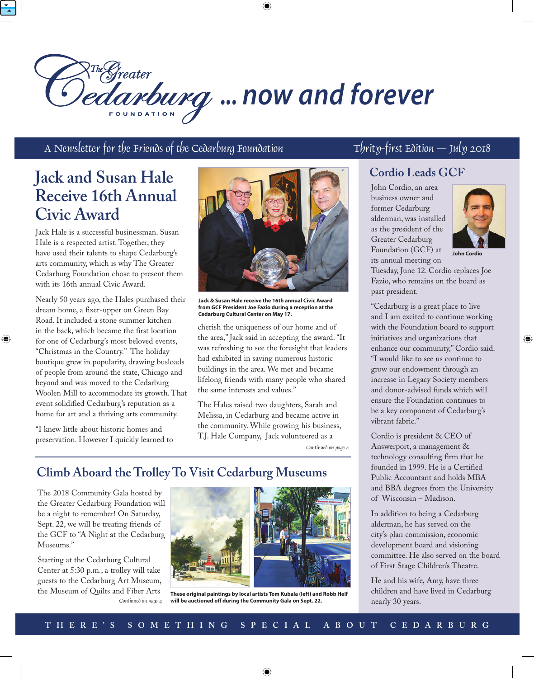

# R<sup>The Greater</sup><br>*edanburg* ... now and forever

A Newsletter for the Friends of the Cedarburg Foundation  $\Gamma$  Thrity-first Edition  $\Gamma$  July 2018

## **Jack and Susan Hale Receive 16th Annual Civic Award**

Jack Hale is a successful businessman. Susan Hale is a respected artist. Together, they have used their talents to shape Cedarburg's arts community, which is why The Greater Cedarburg Foundation chose to present them with its 16th annual Civic Award.

Nearly 50 years ago, the Hales purchased their dream home, a fixer-upper on Green Bay Road. It included a stone summer kitchen in the back, which became the first location for one of Cedarburg's most beloved events, "Christmas in the Country." The holiday boutique grew in popularity, drawing busloads of people from around the state, Chicago and beyond and was moved to the Cedarburg Woolen Mill to accommodate its growth. That event solidified Cedarburg's reputation as a home for art and a thriving arts community.

⊕

"I knew little about historic homes and preservation. However I quickly learned to



**Jack & Susan Hale receive the 16th annual Civic Award from GCF President Joe Fazio during a reception at the Cedarburg Cultural Center on May 17.**

cherish the uniqueness of our home and of the area," Jack said in accepting the award. "It was refreshing to see the foresight that leaders had exhibited in saving numerous historic buildings in the area. We met and became lifelong friends with many people who shared the same interests and values."

The Hales raised two daughters, Sarah and Melissa, in Cedarburg and became active in the community. While growing his business, T.J. Hale Company, Jack volunteered as a

Continued on page 4

## **Climb Aboard the Trolley To Visit Cedarburg Museums**

The 2018 Community Gala hosted by the Greater Cedarburg Foundation will be a night to remember! On Saturday, Sept. 22, we will be treating friends of the GCF to "A Night at the Cedarburg Museums."

Continued on page 4 Starting at the Cedarburg Cultural Center at 5:30 p.m., a trolley will take guests to the Cedarburg Art Museum, the Museum of Quilts and Fiber Arts



**These original paintings by local artists Tom Kubala (left) and Robb Helf will be auctioned off during the Community Gala on Sept. 22.**

### **Cordio Leads GCF**

John Cordio, an area business owner and former Cedarburg alderman, was installed as the president of the Greater Cedarburg Foundation (GCF) at its annual meeting on



◈

**John Cordio**

Tuesday, June 12. Cordio replaces Joe Fazio, who remains on the board as past president.

"Cedarburg is a great place to live and I am excited to continue working with the Foundation board to support initiatives and organizations that enhance our community," Cordio said. "I would like to see us continue to grow our endowment through an increase in Legacy Society members and donor-advised funds which will ensure the Foundation continues to be a key component of Cedarburg's vibrant fabric."

Cordio is president & CEO of Answerport, a management & technology consulting firm that he founded in 1999. He is a Certified Public Accountant and holds MBA and BBA degrees from the University of Wisconsin – Madison.

In addition to being a Cedarburg alderman, he has served on the city's plan commission, economic development board and visioning committee. He also served on the board of First Stage Children's Theatre.

He and his wife, Amy, have three children and have lived in Cedarburg nearly 30 years.

#### THERE'S SOMETHING SPECIAL ABOUT CEDARBURG

 $\bigoplus$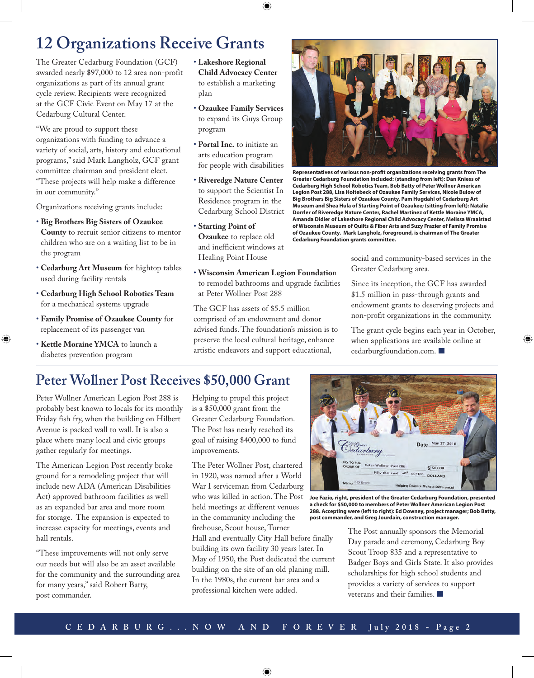## **12 Organizations Receive Grants**

The Greater Cedarburg Foundation (GCF) awarded nearly \$97,000 to 12 area non-profit organizations as part of its annual grant cycle review. Recipients were recognized at the GCF Civic Event on May 17 at the Cedarburg Cultural Center.

"We are proud to support these organizations with funding to advance a variety of social, arts, history and educational programs," said Mark Langholz, GCF grant committee chairman and president elect. "These projects will help make a difference in our community."

Organizations receiving grants include:

- • **Big Brothers Big Sisters of Ozaukee County** to recruit senior citizens to mentor children who are on a waiting list to be in the program
- • **Cedarburg Art Museum** for hightop tables used during facility rentals
- • **Cedarburg High School Robotics Team** for a mechanical systems upgrade
- • **Family Promise of Ozaukee County** for replacement of its passenger van
- • **Kettle Moraine YMCA** to launch a diabetes prevention program

 $\bigcirc$ 

- • **Lakeshore Regional Child Advocacy Center**  to establish a marketing plan
- • **Ozaukee Family Services** to expand its Guys Group program
- • **Portal Inc.** to initiate an arts education program for people with disabilities
- • **Riveredge Nature Center** to support the Scientist In Residence program in the Cedarburg School District
- • **Starting Point of Ozaukee** to replace old and inefficient windows at Healing Point House
- • **Wisconsin American Legion Foundatio**n to remodel bathrooms and upgrade facilities at Peter Wollner Post 288

The GCF has assets of \$5.5 million comprised of an endowment and donor advised funds. The foundation's mission is to preserve the local cultural heritage, enhance artistic endeavors and support educational,



**Representatives of various non-profit organizations receiving grants from The Greater Cedarburg Foundation included: (standing from left): Dan Kniess of Cedarburg High School Robotics Team, Bob Batty of Peter Wollner American Legion Post 288, Lisa Holtebeck of Ozaukee Family Services, Nicole Bulow of Big Brothers Big Sisters of Ozaukee County, Pam Hugdahl of Cedarburg Art Museum and Shea Hula of Starting Point of Ozaukee; (sitting from left): Natalie Dorrler of Riveredge Nature Center, Rachel Martinez of Kettle Moraine YMCA, Amanda Didier of Lakeshore Regional Child Advocacy Center, Melissa Wraalstad of Wisconsin Museum of Quilts & Fiber Arts and Suzy Frazier of Family Promise of Ozaukee County. Mark Langholz, foreground, is chairman of The Greater Cedarburg Foundation grants committee.** 

social and community-based services in the Greater Cedarburg area.

Since its inception, the GCF has awarded \$1.5 million in pass-through grants and endowment grants to deserving projects and non-profit organizations in the community.

The grant cycle begins each year in October, when applications are available online at cedarburgfoundation.com.

⊕

## **Peter Wollner Post Receives \$50,000 Grant**

Peter Wollner American Legion Post 288 is probably best known to locals for its monthly Friday fish fry, when the building on Hilbert Avenue is packed wall to wall. It is also a place where many local and civic groups gather regularly for meetings.

The American Legion Post recently broke ground for a remodeling project that will include new ADA (American Disabilities Act) approved bathroom facilities as well as an expanded bar area and more room for storage. The expansion is expected to increase capacity for meetings, events and hall rentals.

"These improvements will not only serve our needs but will also be an asset available for the community and the surrounding area for many years," said Robert Batty, post commander.

Helping to propel this project is a \$50,000 grant from the Greater Cedarburg Foundation. The Post has nearly reached its goal of raising \$400,000 to fund improvements.

The Peter Wollner Post, chartered in 1920, was named after a World War I serviceman from Cedarburg who was killed in action. The Post held meetings at different venues in the community including the firehouse, Scout house, Turner

Hall and eventually City Hall before finally building its own facility 30 years later. In May of 1950, the Post dedicated the current building on the site of an old planing mill. In the 1980s, the current bar area and a professional kitchen were added.



**Joe Fazio, right, president of the Greater Cedarburg Foundation, presented a check for \$50,000 to members of Peter Wollner American Legion Post 288. Accepting were (left to right): Ed Downey, project manager; Bob Batty, post commander, and Greg Jourdain, construction manager.** 

The Post annually sponsors the Memorial Day parade and ceremony, Cedarburg Boy Scout Troop 835 and a representative to Badger Boys and Girls State. It also provides scholarships for high school students and provides a variety of services to support veterans and their families.

 $\bigoplus$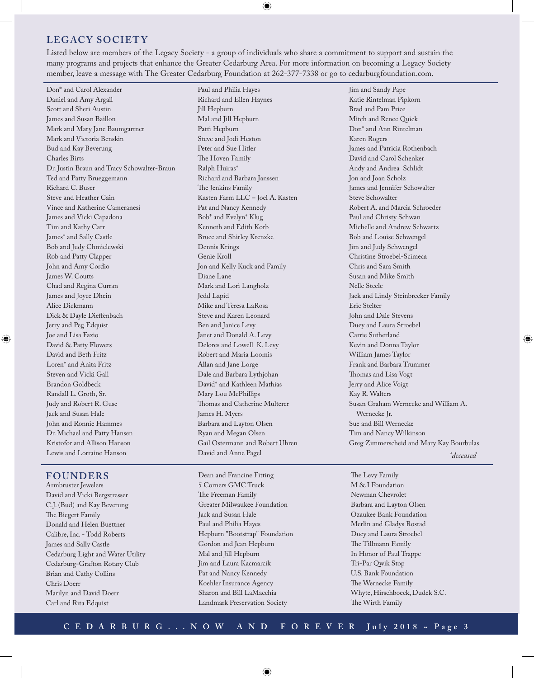#### **LEGACY SOCIETY**

Listed below are members of the Legacy Society - a group of individuals who share a commitment to support and sustain the many programs and projects that enhance the Greater Cedarburg Area. For more information on becoming a Legacy Society member, leave a message with The Greater Cedarburg Foundation at 262-377-7338 or go to cedarburgfoundation.com.

◈

Don\* and Carol Alexander Daniel and Amy Argall Scott and Sheri Austin James and Susan Baillon Mark and Mary Jane Baumgartner Mark and Victoria Benskin Bud and Kay Beverung Charles Birts Dr. Justin Braun and Tracy Schowalter-Braun Ted and Patty Brueggemann Richard C. Buser Steve and Heather Cain Vince and Katherine Cameranesi James and Vicki Capadona Tim and Kathy Carr James\* and Sally Castle Bob and Judy Chmielewski Rob and Patty Clapper John and Amy Cordio James W. Coutts Chad and Regina Curran James and Joyce Dhein Alice Dickmann Dick & Dayle Dieffenbach Jerry and Peg Edquist Joe and Lisa Fazio David & Patty Flowers David and Beth Fritz Loren\* and Anita Fritz Steven and Vicki Gall Brandon Goldbeck Randall L. Groth, Sr. Judy and Robert R. Guse Jack and Susan Hale John and Ronnie Hammes Dr. Michael and Patty Hansen Kristofor and Allison Hanson Lewis and Lorraine Hanson

#### **FOUNDERS**

◈

Armbruster Jewelers David and Vicki Bergstresser C.J. (Bud) and Kay Beverung The Biegert Family Donald and Helen Buettner Calibre, Inc. - Todd Roberts James and Sally Castle Cedarburg Light and Water Utility Cedarburg-Grafton Rotary Club Brian and Cathy Collins Chris Doerr Marilyn and David Doerr Carl and Rita Edquist

Paul and Philia Hayes Richard and Ellen Haynes Jill Hepburn Mal and Jill Hepburn Patti Hepburn Steve and Jodi Heston Peter and Sue Hitler The Hoven Family Ralph Huiras\* Richard and Barbara Janssen The Jenkins Family Kasten Farm LLC – Joel A. Kasten Pat and Nancy Kennedy Bob\* and Evelyn\* Klug Kenneth and Edith Korb Bruce and Shirley Krenzke Dennis Krings Genie Kroll Jon and Kelly Kuck and Family Diane Lane Mark and Lori Langholz Jedd Lapid Mike and Teresa LaRosa Steve and Karen Leonard Ben and Janice Levy Janet and Donald A. Levy Delores and Lowell K. Levy Robert and Maria Loomis Allan and Jane Lorge Dale and Barbara Lythjohan David\* and Kathleen Mathias Mary Lou McPhillips Thomas and Catherine Multerer James H. Myers Barbara and Layton Olsen Ryan and Megan Olsen Gail Ostermann and Robert Uhren David and Anne Pagel

Dean and Francine Fitting 5 Corners GMC Truck The Freeman Family Greater Milwaukee Foundation Jack and Susan Hale Paul and Philia Hayes Hepburn "Bootstrap" Foundation Gordon and Jean Hepburn Mal and Jill Hepburn Jim and Laura Kacmarcik Pat and Nancy Kennedy Koehler Insurance Agency Sharon and Bill LaMacchia Landmark Preservation Society

Jim and Sandy Pape Katie Rintelman Pipkorn Brad and Pam Price Mitch and Renee Quick Don\* and Ann Rintelman Karen Rogers James and Patricia Rothenbach David and Carol Schenker Andy and Andrea Schlidt Jon and Joan Scholz James and Jennifer Schowalter Steve Schowalter Robert A. and Marcia Schroeder Paul and Christy Schwan Michelle and Andrew Schwartz Bob and Louise Schwengel Jim and Judy Schwengel Christine Stroebel-Scimeca Chris and Sara Smith Susan and Mike Smith Nelle Steele Jack and Lindy Steinbrecker Family Eric Stelter John and Dale Stevens Duey and Laura Stroebel Carrie Sutherland Kevin and Donna Taylor William James Taylor Frank and Barbara Trummer Thomas and Lisa Vogt Jerry and Alice Voigt Kay R. Walters Susan Graham Wernecke and William A. Wernecke Jr. Sue and Bill Wernecke Tim and Nancy Wilkinson Greg Zimmerscheid and Mary Kay Bourbulas

*\*deceased*

⊕

The Levy Family M & I Foundation Newman Chevrolet Barbara and Layton Olsen Ozaukee Bank Foundation Merlin and Gladys Rostad Duey and Laura Stroebel The Tillmann Family In Honor of Paul Trappe Tri-Par Qwik Stop U.S. Bank Foundation The Wernecke Family Whyte, Hirschboeck, Dudek S.C. The Wirth Family

#### **CEDARBURG...NOW AND FOREVER July 2018 ~ Page 3**

⊕